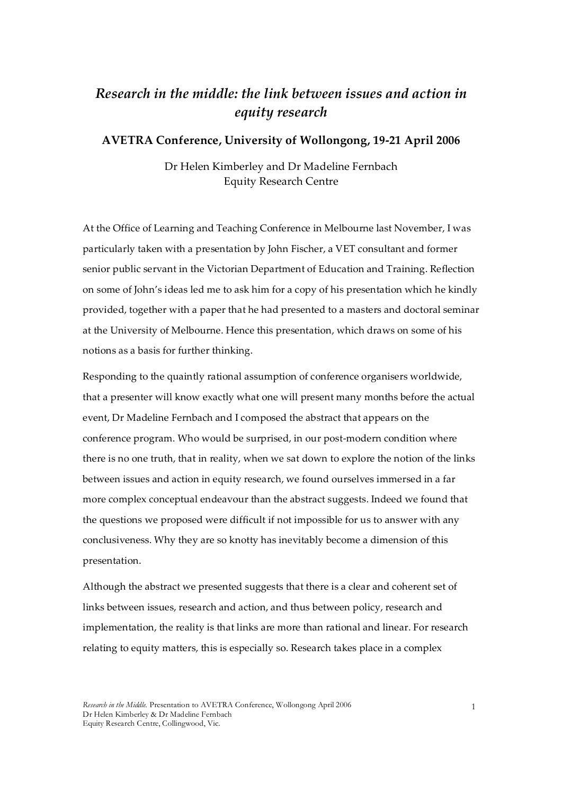## *Research in the middle: the link between issues and action in equity research*

### **AVETRA Conference, University of Wollongong, 19‑21 April 2006**

Dr Helen Kimberley and Dr Madeline Fernbach Equity Research Centre

At the Office of Learning and Teaching Conference in Melbourne last November, I was particularly taken with a presentation by John Fischer, a VET consultant and former senior public servant in the Victorian Department of Education and Training. Reflection on some of John's ideas led me to ask him for a copy of his presentation which he kindly provided, together with a paper that he had presented to a masters and doctoral seminar at the University of Melbourne. Hence this presentation, which draws on some of his notions as a basis for further thinking.

Responding to the quaintly rational assumption of conference organisers worldwide, that a presenter will know exactly what one will present many months before the actual event, Dr Madeline Fernbach and I composed the abstract that appears on the conference program. Who would be surprised, in our post-modern condition where there is no one truth, that in reality, when we sat down to explore the notion of the links between issues and action in equity research, we found ourselves immersed in a far more complex conceptual endeavour than the abstract suggests. Indeed we found that the questions we proposed were difficult if not impossible for us to answer with any conclusiveness. Why they are so knotty has inevitably become a dimension of this presentation.

Although the abstract we presented suggests that there is a clear and coherent set of links between issues, research and action, and thus between policy, research and implementation, the reality is that links are more than rational and linear. For research relating to equity matters, this is especially so. Research takes place in a complex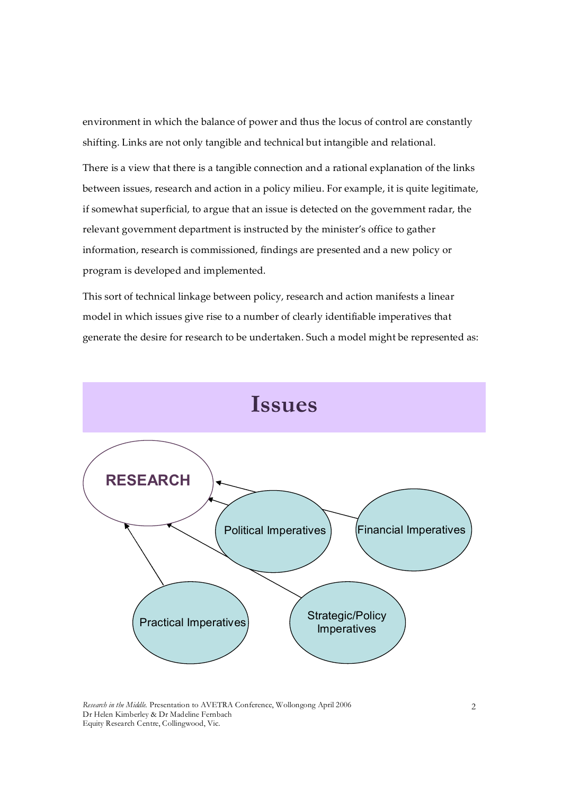environment in which the balance of power and thus the locus of control are constantly shifting. Links are not only tangible and technical but intangible and relational.

There is a view that there is a tangible connection and a rational explanation of the links between issues, research and action in a policy milieu. For example, it is quite legitimate, if somewhat superficial, to argue that an issue is detected on the government radar, the relevant government department is instructed by the minister's office to gather information, research is commissioned, findings are presented and a new policy or program is developed and implemented.

This sort of technical linkage between policy, research and action manifests a linear model in which issues give rise to a number of clearly identifiable imperatives that generate the desire for research to be undertaken. Such a model might be represented as:



*Research in the Middle.* Presentation to AVETRA Conference, Wollongong April 2006 Dr Helen Kimberley & Dr Madeline Fernbach Equity Research Centre, Collingwood, Vic.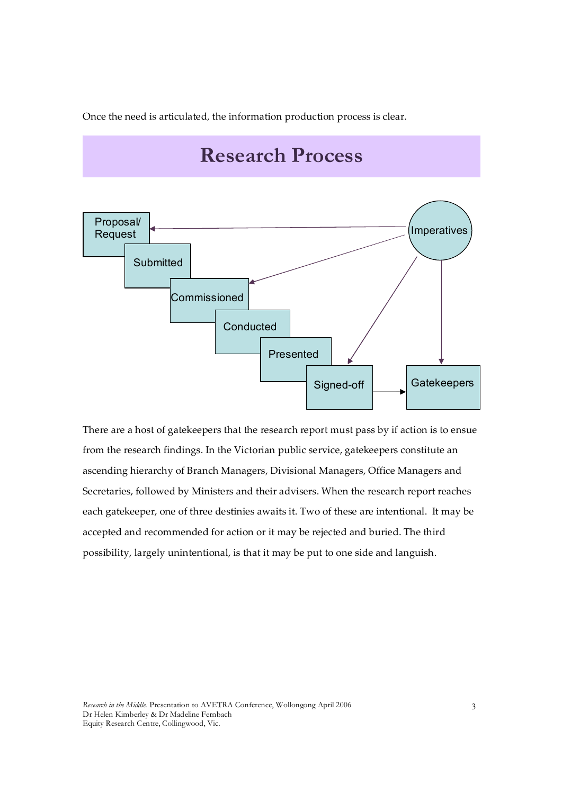Once the need is articulated, the information production process is clear.

# **Research Process**



There are a host of gatekeepers that the research report must pass by if action is to ensue from the research findings. In the Victorian public service, gatekeepers constitute an ascending hierarchy of Branch Managers, Divisional Managers, Office Managers and Secretaries, followed by Ministers and their advisers. When the research report reaches each gatekeeper, one of three destinies awaits it. Two of these are intentional. It may be accepted and recommended for action or it may be rejected and buried. The third possibility, largely unintentional, is that it may be put to one side and languish.

*Research in the Middle.* Presentation to AVETRA Conference, Wollongong April 2006 Dr Helen Kimberley & Dr Madeline Fernbach Equity Research Centre, Collingwood, Vic.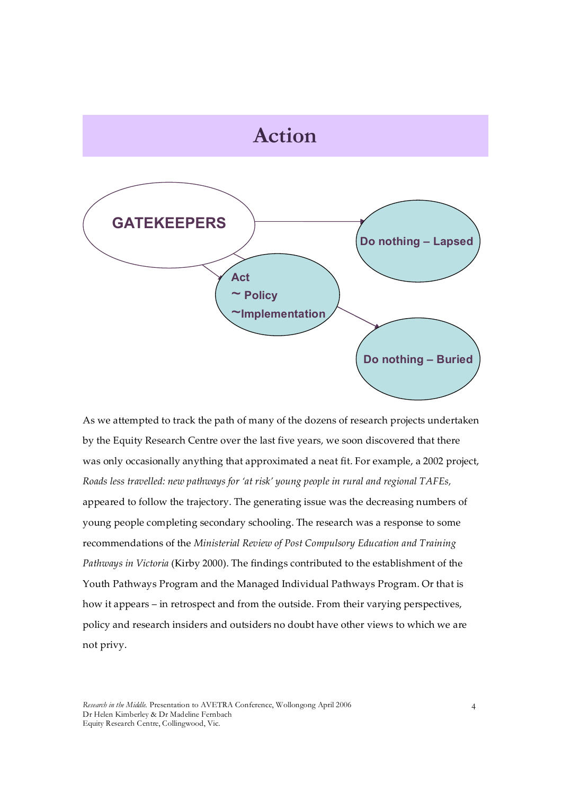

As we attempted to track the path of many of the dozens of research projects undertaken by the Equity Research Centre over the last five years, we soon discovered that there was only occasionally anything that approximated a neat fit. For example, a 2002 project, *Roads less travelled: new pathways for 'at risk' young people in rural and regional TAFEs,* appeared to follow the trajectory. The generating issue was the decreasing numbers of young people completing secondary schooling. The research was a response to some recommendations of the *Ministerial Review of Post Compulsory Education and Training Pathways in Victoria* (Kirby 2000). The findings contributed to the establishment of the Youth Pathways Program and the Managed Individual Pathways Program. Or that is how it appears – in retrospect and from the outside. From their varying perspectives, policy and research insiders and outsiders no doubt have other views to which we are not privy.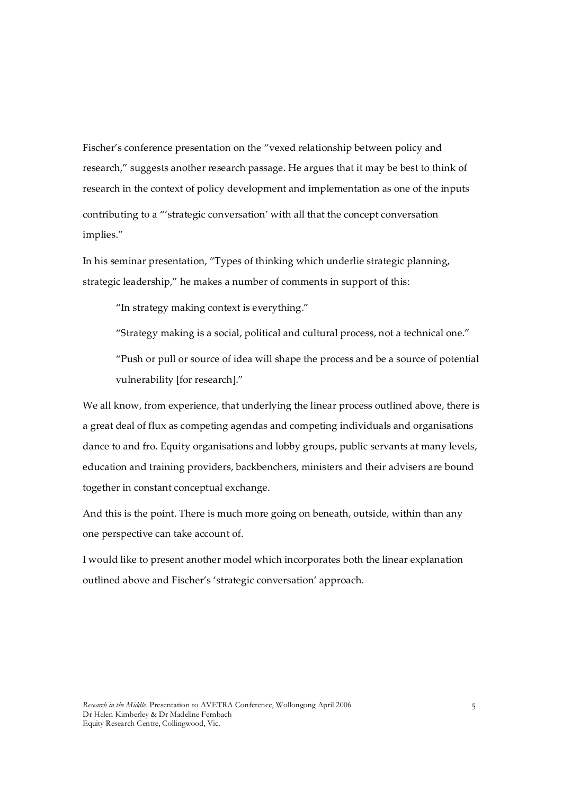Fischer's conference presentation on the "vexed relationship between policy and research," suggests another research passage. He argues that it may be best to think of research in the context of policy development and implementation as one of the inputs contributing to a "'strategic conversation' with all that the concept conversation implies."

In his seminar presentation, "Types of thinking which underlie strategic planning, strategic leadership," he makes a number of comments in support of this:

"In strategy making context is everything."

"Strategy making is a social, political and cultural process, not a technical one."

"Push or pull or source of idea will shape the process and be a source of potential vulnerability [for research]."

We all know, from experience, that underlying the linear process outlined above, there is a great deal of flux as competing agendas and competing individuals and organisations dance to and fro. Equity organisations and lobby groups, public servants at many levels, education and training providers, backbenchers, ministers and their advisers are bound together in constant conceptual exchange.

And this is the point. There is much more going on beneath, outside, within than any one perspective can take account of.

I would like to present another model which incorporates both the linear explanation outlined above and Fischer's 'strategic conversation' approach.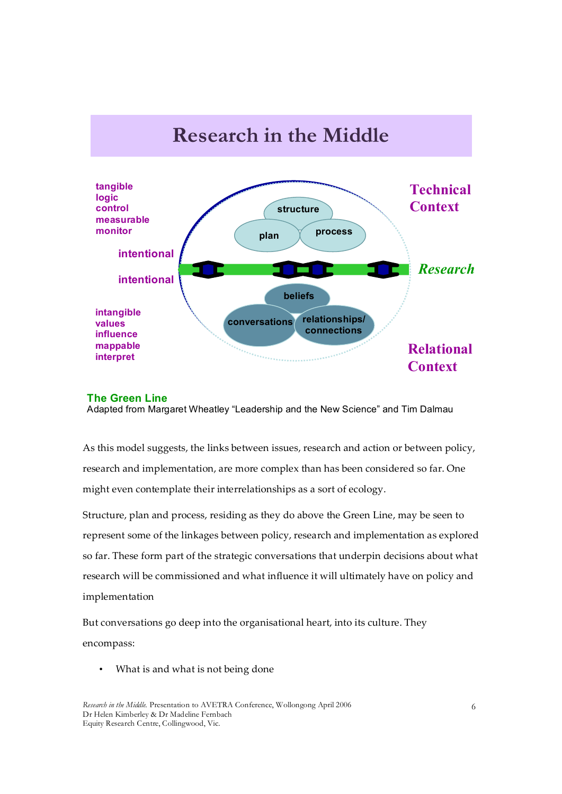

#### **The Green Line**

Adapted from Margaret Wheatley "Leadership and the New Science" and Tim Dalmau

As this model suggests, the links between issues, research and action or between policy, research and implementation, are more complex than has been considered so far. One might even contemplate their interrelationships as a sort of ecology.

Structure, plan and process, residing as they do above the Green Line, may be seen to represent some of the linkages between policy, research and implementation as explored so far. These form part of the strategic conversations that underpin decisions about what research will be commissioned and what influence it will ultimately have on policy and implementation

But conversations go deep into the organisational heart, into its culture. They encompass:

• What is and what is not being done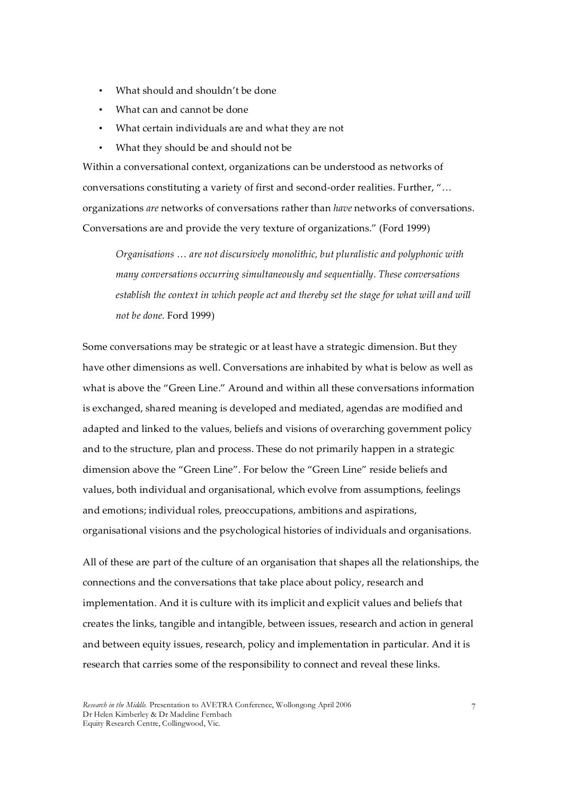- What should and shouldn't be done
- What can and cannot be done
- What certain individuals are and what they are not
- What they should be and should not be

Within a conversational context, organizations can be understood as networks of conversations constituting a variety of first and second‑order realities. Further, "… organizations *are* networks of conversations rather than *have* networks of conversations. Conversations are and provide the very texture of organizations." (Ford 1999)

*Organisations … are not discursively monolithic, but pluralistic and polyphonic with many conversations occurring simultaneously and sequentially. These conversations establish the context in which people act and thereby set the stage for what will and will not be done.* Ford 1999)

Some conversations may be strategic or at least have a strategic dimension. But they have other dimensions as well. Conversations are inhabited by what is below as well as what is above the "Green Line." Around and within all these conversations information is exchanged, shared meaning is developed and mediated, agendas are modified and adapted and linked to the values, beliefs and visions of overarching government policy and to the structure, plan and process. These do not primarily happen in a strategic dimension above the "Green Line". For below the "Green Line" reside beliefs and values, both individual and organisational, which evolve from assumptions, feelings and emotions; individual roles, preoccupations, ambitions and aspirations, organisational visions and the psychological histories of individuals and organisations.

All of these are part of the culture of an organisation that shapes all the relationships, the connections and the conversations that take place about policy, research and implementation. And it is culture with its implicit and explicit values and beliefs that creates the links, tangible and intangible, between issues, research and action in general and between equity issues, research, policy and implementation in particular. And it is research that carries some of the responsibility to connect and reveal these links.